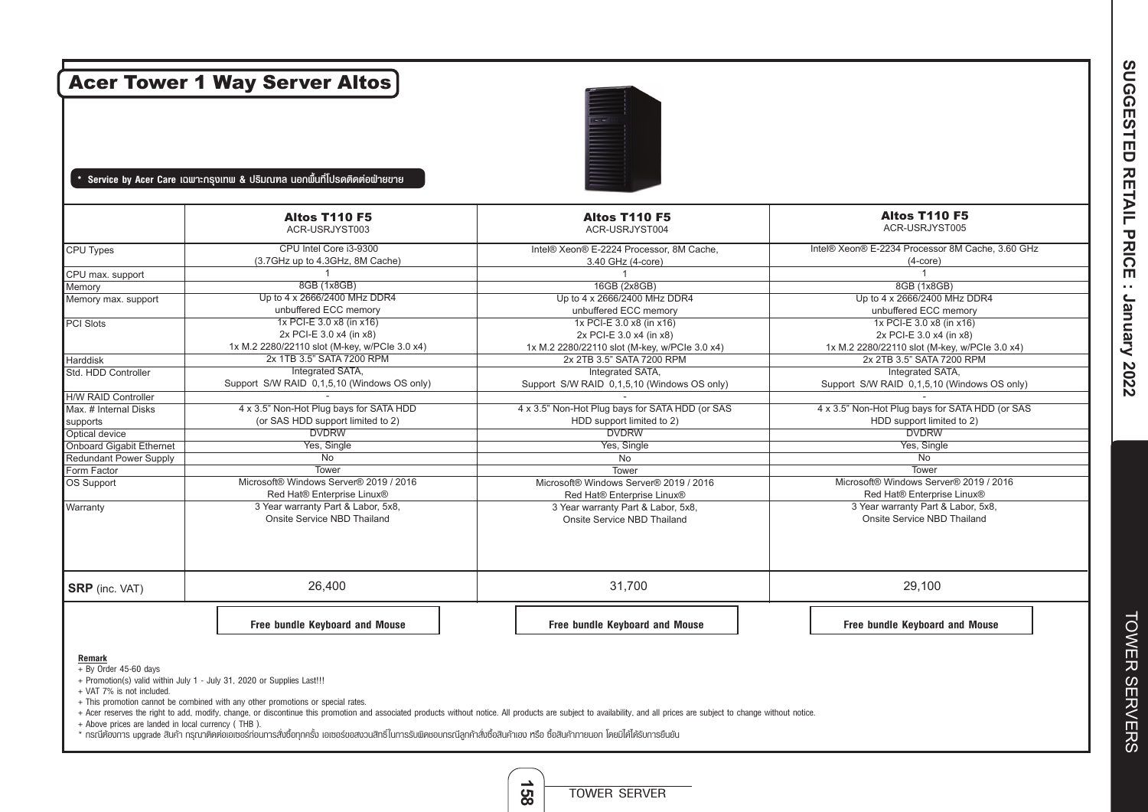| <b>Acer Tower 1 Way Server Altos</b> |                                                                                                      |                                                                                                      |                                                                                                      |  |  |  |
|--------------------------------------|------------------------------------------------------------------------------------------------------|------------------------------------------------------------------------------------------------------|------------------------------------------------------------------------------------------------------|--|--|--|
|                                      | Service by Acer Care เฉพาะกรุงเทพ & ปริมณฑล นอกพื้นที่โปรดติดต่อฟ่ายขาย                              |                                                                                                      |                                                                                                      |  |  |  |
|                                      | <b>Altos T110 F5</b><br>ACR-USRJYST003                                                               | <b>Altos T110 F5</b><br>ACR-USRJYST004                                                               | <b>Altos T110 F5</b><br>ACR-USRJYST005                                                               |  |  |  |
| CPU Types                            | CPU Intel Core i3-9300<br>(3.7GHz up to 4.3GHz, 8M Cache)                                            | Intel® Xeon® E-2224 Processor, 8M Cache.<br>3.40 GHz (4-core)                                        | Intel® Xeon® E-2234 Processor 8M Cache, 3.60 GHz<br>$(4$ -core $)$                                   |  |  |  |
| CPU max. support                     |                                                                                                      |                                                                                                      | $\mathbf{1}$                                                                                         |  |  |  |
| Memory<br>Memory max. support        | 8GB (1x8GB)<br>Up to 4 x 2666/2400 MHz DDR4<br>unbuffered ECC memory                                 | 16GB (2x8GB)<br>Up to 4 x 2666/2400 MHz DDR4<br>unbuffered ECC memory                                | 8GB (1x8GB)<br>Up to 4 x 2666/2400 MHz DDR4<br>unbuffered ECC memory                                 |  |  |  |
| PCI Slots                            | 1x PCI-E 3.0 x8 (in x16)<br>2x PCI-E 3.0 x4 (in x8)<br>1x M.2 2280/22110 slot (M-key, w/PCle 3.0 x4) | 1x PCI-E 3.0 x8 (in x16)<br>2x PCI-E 3.0 x4 (in x8)<br>1x M.2 2280/22110 slot (M-key, w/PCle 3.0 x4) | 1x PCI-E 3.0 x8 (in x16)<br>2x PCI-E 3.0 x4 (in x8)<br>1x M.2 2280/22110 slot (M-key, w/PCle 3.0 x4) |  |  |  |
| <b>Harddisk</b>                      | 2x 1TB 3.5" SATA 7200 RPM                                                                            | 2x 2TB 3.5" SATA 7200 RPM                                                                            | 2x 2TB 3.5" SATA 7200 RPM                                                                            |  |  |  |
| Std. HDD Controller                  | Integrated SATA,<br>Support S/W RAID 0,1,5,10 (Windows OS only)                                      | Integrated SATA,<br>Support S/W RAID 0,1,5,10 (Windows OS only)                                      | Integrated SATA,<br>Support S/W RAID 0,1,5,10 (Windows OS only)                                      |  |  |  |
| <b>H/W RAID Controller</b>           |                                                                                                      |                                                                                                      |                                                                                                      |  |  |  |
| Max. # Internal Disks                | 4 x 3.5" Non-Hot Plug bays for SATA HDD                                                              | 4 x 3.5" Non-Hot Plug bays for SATA HDD (or SAS                                                      | 4 x 3.5" Non-Hot Plug bays for SATA HDD (or SAS                                                      |  |  |  |
| supports                             | (or SAS HDD support limited to 2)                                                                    | HDD support limited to 2)                                                                            | HDD support limited to 2)                                                                            |  |  |  |
| Optical device                       | <b>DVDRW</b>                                                                                         | <b>DVDRW</b>                                                                                         | <b>DVDRW</b>                                                                                         |  |  |  |
| Onboard Gigabit Ethernet             | Yes, Single                                                                                          | Yes, Single                                                                                          | Yes, Single                                                                                          |  |  |  |
| <b>Redundant Power Supply</b>        | No<br>Tower                                                                                          | No                                                                                                   | No<br>Tower                                                                                          |  |  |  |
| Form Factor                          | Microsoft® Windows Server® 2019 / 2016                                                               | Tower<br>Microsoft® Windows Server® 2019 / 2016                                                      | Microsoft® Windows Server® 2019 / 2016                                                               |  |  |  |
| OS Support                           | Red Hat® Enterprise Linux®                                                                           | Red Hat® Enterprise Linux®                                                                           | Red Hat® Enterprise Linux®                                                                           |  |  |  |
| Warranty                             | 3 Year warranty Part & Labor, 5x8,<br>Onsite Service NBD Thailand                                    | 3 Year warranty Part & Labor, 5x8,<br>Onsite Service NBD Thailand                                    | 3 Year warranty Part & Labor, 5x8,<br>Onsite Service NBD Thailand                                    |  |  |  |
| <b>SRP</b> (inc. VAT)                | 26,400                                                                                               | 31,700                                                                                               | 29,100                                                                                               |  |  |  |
|                                      | Free bundle Keyboard and Mouse                                                                       | Free bundle Keyboard and Mouse                                                                       | Free bundle Keyboard and Mouse                                                                       |  |  |  |

+ Acer reserves the right to add, modify, change, or discontinue this promotion and associated products without notice. All products are subject to availability, and all prices are subject to change without notice.

**158**

TOWER SERVER

+ Above prices are landed in local currency ( THB ).

\* กรณีต้องการ upgrade สินค้า กรุณาติดต่อเอเซอร์ก่อนการสั่งซื้อทุกครั้ง เอเซอร์ขอสงวนสิทธิ์ในการรับผิดชอบกรณีลูกค้าส่งซื้อสินค้าเอง หรือ ซื้อสินค้าภายนอก โดยมิได้ได้รับการยืนยัน

SUGGESTED RETAIL PRICE : January 2022 **SUGGESTED RETAIL PRICE : January 2022**

**TOWER SERVERS** TOWER SERVERS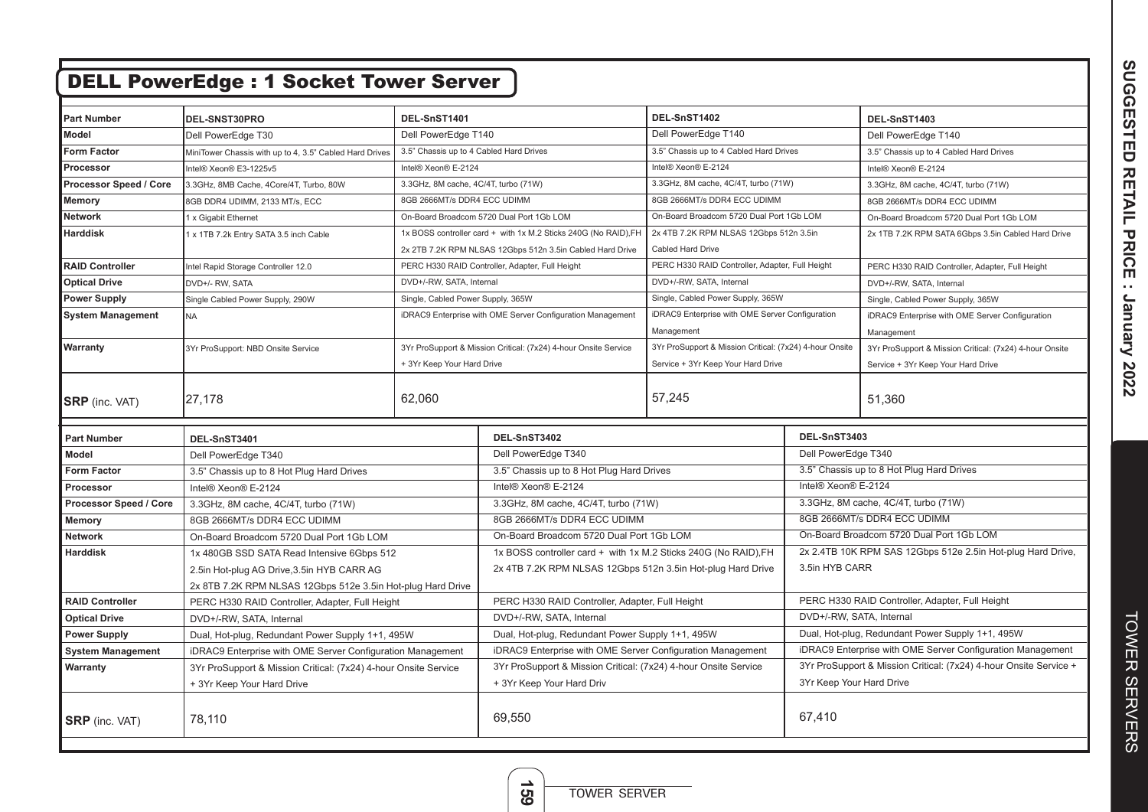| <b>DELL PowerEdge: 1 Socket Tower Server</b> |                                                                                          |                                                                 |                                                                 |                                                         |                                                                   |                                                         |  |
|----------------------------------------------|------------------------------------------------------------------------------------------|-----------------------------------------------------------------|-----------------------------------------------------------------|---------------------------------------------------------|-------------------------------------------------------------------|---------------------------------------------------------|--|
|                                              |                                                                                          |                                                                 |                                                                 |                                                         |                                                                   |                                                         |  |
| <b>Part Number</b>                           | DEL-SNST30PRO                                                                            | DEL-SnST1401                                                    |                                                                 | DEL-SnST1402                                            |                                                                   | DEL-SnST1403                                            |  |
| <b>Model</b>                                 | Dell PowerEdge T30                                                                       | Dell PowerEdge T140                                             |                                                                 | Dell PowerEdge T140                                     |                                                                   | Dell PowerEdge T140                                     |  |
| <b>Form Factor</b>                           | MiniTower Chassis with up to 4, 3.5" Cabled Hard Drives                                  | 3.5" Chassis up to 4 Cabled Hard Drives                         |                                                                 | 3.5" Chassis up to 4 Cabled Hard Drives                 |                                                                   | 3.5" Chassis up to 4 Cabled Hard Drives                 |  |
| Processor                                    | Intel® Xeon® E3-1225v5                                                                   | Intel® Xeon® E-2124                                             |                                                                 | Intel® Xeon® E-2124                                     |                                                                   | Intel® Xeon® E-2124                                     |  |
| Processor Speed / Core                       | 3.3GHz, 8MB Cache, 4Core/4T, Turbo, 80W                                                  | 3.3GHz, 8M cache, 4C/4T, turbo (71W)                            |                                                                 | 3.3GHz, 8M cache, 4C/4T, turbo (71W)                    |                                                                   | 3.3GHz, 8M cache, 4C/4T, turbo (71W)                    |  |
| Memory                                       | 8GB DDR4 UDIMM, 2133 MT/s, ECC                                                           | 8GB 2666MT/s DDR4 ECC UDIMM                                     |                                                                 | 8GB 2666MT/s DDR4 ECC UDIMM                             |                                                                   | 8GB 2666MT/s DDR4 ECC UDIMM                             |  |
| <b>Network</b>                               | 1 x Gigabit Ethernet                                                                     | On-Board Broadcom 5720 Dual Port 1Gb LOM                        |                                                                 | On-Board Broadcom 5720 Dual Port 1Gb LOM                |                                                                   | On-Board Broadcom 5720 Dual Port 1Gb LOM                |  |
| <b>Harddisk</b>                              | 1 x 1TB 7.2k Entry SATA 3.5 inch Cable                                                   | 1x BOSS controller card + with 1x M.2 Sticks 240G (No RAID), FH |                                                                 | 2x 4TB 7.2K RPM NLSAS 12Gbps 512n 3.5in                 |                                                                   | 2x 1TB 7.2K RPM SATA 6Gbps 3.5in Cabled Hard Drive      |  |
|                                              |                                                                                          | 2x 2TB 7.2K RPM NLSAS 12Gbps 512n 3.5in Cabled Hard Drive       |                                                                 | Cabled Hard Drive                                       |                                                                   |                                                         |  |
| <b>RAID Controller</b>                       | Intel Rapid Storage Controller 12.0                                                      | PERC H330 RAID Controller, Adapter, Full Height                 |                                                                 | PERC H330 RAID Controller, Adapter, Full Height         |                                                                   | PERC H330 RAID Controller, Adapter, Full Height         |  |
| <b>Optical Drive</b>                         | DVD+/- RW, SATA                                                                          | DVD+/-RW, SATA, Internal                                        |                                                                 | DVD+/-RW, SATA, Internal                                |                                                                   | DVD+/-RW, SATA, Internal                                |  |
| <b>Power Supply</b>                          | Single Cabled Power Supply, 290W                                                         | Single, Cabled Power Supply, 365W                               |                                                                 | Single, Cabled Power Supply, 365W                       |                                                                   | Single, Cabled Power Supply, 365W                       |  |
| <b>System Management</b>                     | <b>NA</b>                                                                                |                                                                 | iDRAC9 Enterprise with OME Server Configuration Management      | iDRAC9 Enterprise with OME Server Configuration         |                                                                   | iDRAC9 Enterprise with OME Server Configuration         |  |
|                                              |                                                                                          |                                                                 |                                                                 | Management                                              |                                                                   | Management                                              |  |
| Warranty                                     | 3Yr ProSupport: NBD Onsite Service                                                       |                                                                 | 3Yr ProSupport & Mission Critical: (7x24) 4-hour Onsite Service | 3Yr ProSupport & Mission Critical: (7x24) 4-hour Onsite |                                                                   | 3Yr ProSupport & Mission Critical: (7x24) 4-hour Onsite |  |
|                                              |                                                                                          | + 3Yr Keep Your Hard Drive                                      |                                                                 | Service + 3Yr Keep Your Hard Drive                      |                                                                   | Service + 3Yr Keep Your Hard Drive                      |  |
|                                              |                                                                                          |                                                                 |                                                                 |                                                         |                                                                   |                                                         |  |
| <b>SRP</b> (inc. VAT)                        | 27,178                                                                                   | 62,060                                                          |                                                                 | 57,245                                                  |                                                                   | 51,360                                                  |  |
|                                              |                                                                                          |                                                                 |                                                                 |                                                         |                                                                   |                                                         |  |
| <b>Part Number</b>                           | DEL-SnST3401                                                                             |                                                                 |                                                                 | DEL-SnST3402                                            |                                                                   | DEL-SnST3403                                            |  |
| <b>Model</b>                                 | Dell PowerEdge T340                                                                      |                                                                 | Dell PowerEdge T340                                             |                                                         | Dell PowerEdge T340                                               |                                                         |  |
| <b>Form Factor</b>                           | 3.5" Chassis up to 8 Hot Plug Hard Drives                                                |                                                                 | 3.5" Chassis up to 8 Hot Plug Hard Drives                       |                                                         |                                                                   | 3.5" Chassis up to 8 Hot Plug Hard Drives               |  |
| Processor                                    | Intel® Xeon® E-2124                                                                      |                                                                 | Intel® Xeon® E-2124                                             |                                                         | Intel® Xeon® E-2124                                               |                                                         |  |
| Processor Speed / Core                       | 3.3GHz, 8M cache, 4C/4T, turbo (71W)                                                     |                                                                 | 3.3GHz, 8M cache, 4C/4T, turbo (71W)                            |                                                         |                                                                   | 3.3GHz, 8M cache, 4C/4T, turbo (71W)                    |  |
| <b>Memory</b>                                | 8GB 2666MT/s DDR4 ECC UDIMM                                                              |                                                                 | 8GB 2666MT/s DDR4 ECC UDIMM                                     |                                                         | 8GB 2666MT/s DDR4 ECC UDIMM                                       |                                                         |  |
| <b>Network</b>                               | On-Board Broadcom 5720 Dual Port 1Gb LOM                                                 |                                                                 | On-Board Broadcom 5720 Dual Port 1Gb LOM                        |                                                         |                                                                   | On-Board Broadcom 5720 Dual Port 1Gb LOM                |  |
| <b>Harddisk</b>                              | 1x 480GB SSD SATA Read Intensive 6Gbps 512<br>2.5in Hot-plug AG Drive, 3.5in HYB CARR AG |                                                                 | 1x BOSS controller card + with 1x M.2 Sticks 240G (No RAID), FH |                                                         | 2x 2.4TB 10K RPM SAS 12Gbps 512e 2.5in Hot-plug Hard Drive,       |                                                         |  |
|                                              |                                                                                          |                                                                 | 2x 4TB 7.2K RPM NLSAS 12Gbps 512n 3.5in Hot-plug Hard Drive     |                                                         | 3.5in HYB CARR                                                    |                                                         |  |
|                                              | 2x 8TB 7.2K RPM NLSAS 12Gbps 512e 3.5in Hot-plug Hard Drive                              |                                                                 |                                                                 |                                                         |                                                                   |                                                         |  |
| <b>RAID Controller</b>                       | PERC H330 RAID Controller, Adapter, Full Height                                          |                                                                 | PERC H330 RAID Controller, Adapter, Full Height                 |                                                         |                                                                   | PERC H330 RAID Controller, Adapter, Full Height         |  |
| <b>Optical Drive</b>                         | DVD+/-RW, SATA, Internal                                                                 |                                                                 | DVD+/-RW, SATA, Internal                                        |                                                         | DVD+/-RW, SATA, Internal                                          |                                                         |  |
| <b>Power Supply</b>                          | Dual, Hot-plug, Redundant Power Supply 1+1, 495W                                         |                                                                 | Dual, Hot-plug, Redundant Power Supply 1+1, 495W                |                                                         | Dual, Hot-plug, Redundant Power Supply 1+1, 495W                  |                                                         |  |
| <b>System Management</b>                     | iDRAC9 Enterprise with OME Server Configuration Management                               |                                                                 | iDRAC9 Enterprise with OME Server Configuration Management      |                                                         | iDRAC9 Enterprise with OME Server Configuration Management        |                                                         |  |
| Warranty                                     | 3Yr ProSupport & Mission Critical: (7x24) 4-hour Onsite Service                          |                                                                 | 3Yr ProSupport & Mission Critical: (7x24) 4-hour Onsite Service |                                                         | 3Yr ProSupport & Mission Critical: (7x24) 4-hour Onsite Service + |                                                         |  |
|                                              | + 3Yr Keep Your Hard Drive                                                               |                                                                 | + 3Yr Keep Your Hard Driv                                       |                                                         | 3Yr Keep Your Hard Drive                                          |                                                         |  |
| <b>SRP</b> (inc. VAT)                        | 78,110                                                                                   |                                                                 | 69,550                                                          |                                                         | 67,410                                                            |                                                         |  |

**159**

TOWER SERVER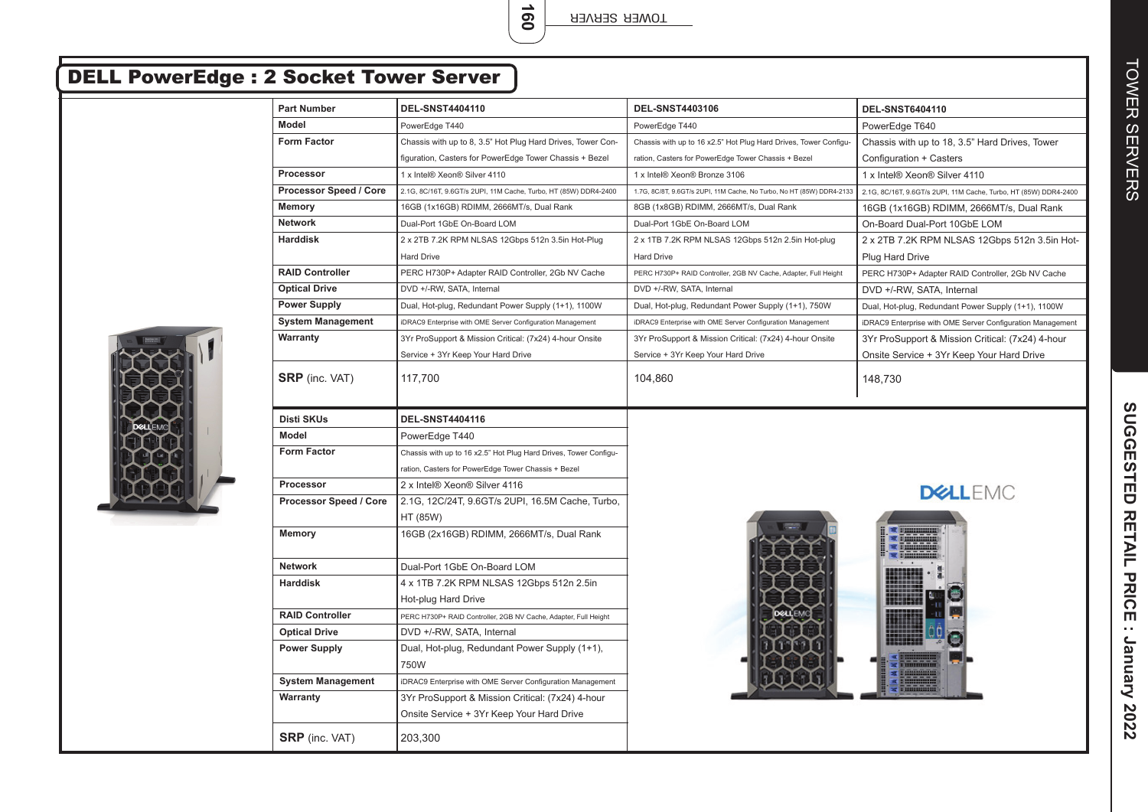TOWER SERVER

**160**

| <b>DELL PowerEdge : 2 Socket Tower Server</b> |                          |                                                                  |                                                                       |                                                                  |
|-----------------------------------------------|--------------------------|------------------------------------------------------------------|-----------------------------------------------------------------------|------------------------------------------------------------------|
|                                               | <b>Part Number</b>       | <b>DEL-SNST4404110</b>                                           | <b>DEL-SNST4403106</b>                                                | <b>DEL-SNST6404110</b>                                           |
|                                               | Model                    | PowerEdge T440                                                   | PowerEdge T440                                                        | PowerEdge T640                                                   |
| <b>Form Factor</b>                            |                          | Chassis with up to 8, 3.5" Hot Plug Hard Drives, Tower Con-      | Chassis with up to 16 x2.5" Hot Plug Hard Drives, Tower Configu-      | Chassis with up to 18, 3.5" Hard Drives, Tower                   |
|                                               |                          | figuration, Casters for PowerEdge Tower Chassis + Bezel          | ration, Casters for PowerEdge Tower Chassis + Bezel                   | Configuration + Casters                                          |
|                                               | Processor                | 1 x Intel® Xeon® Silver 4110                                     | 1 x Intel® Xeon® Bronze 3106                                          | 1 x Intel® Xeon® Silver 4110                                     |
|                                               | Processor Speed / Core   | 2.1G, 8C/16T, 9.6GT/s 2UPI, 11M Cache, Turbo, HT (85W) DDR4-2400 | 1.7G, 8C/8T, 9.6GT/s 2UPI, 11M Cache, No Turbo, No HT (85W) DDR4-2133 | 2.1G, 8C/16T, 9.6GT/s 2UPI, 11M Cache, Turbo, HT (85W) DDR4-2400 |
|                                               | <b>Memory</b>            | 16GB (1x16GB) RDIMM, 2666MT/s, Dual Rank                         | 8GB (1x8GB) RDIMM, 2666MT/s, Dual Rank                                | 16GB (1x16GB) RDIMM, 2666MT/s, Dual Rank                         |
|                                               | <b>Network</b>           | Dual-Port 1GbE On-Board LOM                                      | Dual-Port 1GbE On-Board LOM                                           | On-Board Dual-Port 10GbE LOM                                     |
|                                               | <b>Harddisk</b>          | 2 x 2TB 7.2K RPM NLSAS 12Gbps 512n 3.5in Hot-Plug                | 2 x 1TB 7.2K RPM NLSAS 12Gbps 512n 2.5in Hot-plug                     | 2 x 2TB 7.2K RPM NLSAS 12Gbps 512n 3.5in Hot-                    |
|                                               |                          | <b>Hard Drive</b>                                                | <b>Hard Drive</b>                                                     | Plug Hard Drive                                                  |
|                                               | <b>RAID Controller</b>   | PERC H730P+ Adapter RAID Controller, 2Gb NV Cache                | PERC H730P+ RAID Controller, 2GB NV Cache, Adapter, Full Height       | PERC H730P+ Adapter RAID Controller, 2Gb NV Cache                |
|                                               | <b>Optical Drive</b>     | DVD +/-RW, SATA, Internal                                        | DVD +/-RW, SATA, Internal                                             | DVD +/-RW, SATA, Internal                                        |
|                                               | <b>Power Supply</b>      | Dual, Hot-plug, Redundant Power Supply (1+1), 1100W              | Dual, Hot-plug, Redundant Power Supply (1+1), 750W                    | Dual, Hot-plug, Redundant Power Supply (1+1), 1100W              |
|                                               | <b>System Management</b> | iDRAC9 Enterprise with OME Server Configuration Management       | iDRAC9 Enterprise with OME Server Configuration Management            | iDRAC9 Enterprise with OME Server Configuration Management       |
|                                               | Warranty                 | 3Yr ProSupport & Mission Critical: (7x24) 4-hour Onsite          | 3Yr ProSupport & Mission Critical: (7x24) 4-hour Onsite               | 3Yr ProSupport & Mission Critical: (7x24) 4-hour                 |
|                                               |                          | Service + 3Yr Keep Your Hard Drive                               | Service + 3Yr Keep Your Hard Drive                                    | Onsite Service + 3Yr Keep Your Hard Drive                        |
|                                               | <b>SRP</b> (inc. VAT)    | 117,700                                                          | 104,860                                                               | 148,730                                                          |
|                                               |                          |                                                                  |                                                                       |                                                                  |
|                                               | <b>Disti SKUs</b>        | <b>DEL-SNST4404116</b>                                           |                                                                       |                                                                  |
|                                               | Model                    | PowerEdge T440                                                   |                                                                       |                                                                  |
|                                               | <b>Form Factor</b>       | Chassis with up to 16 x2.5" Hot Plug Hard Drives, Tower Configu- |                                                                       |                                                                  |
|                                               |                          | ration, Casters for PowerEdge Tower Chassis + Bezel              |                                                                       |                                                                  |
|                                               | <b>Processor</b>         | 2 x Intel® Xeon® Silver 4116                                     |                                                                       |                                                                  |
|                                               | Processor Speed / Core   | 2.1G, 12C/24T, 9.6GT/s 2UPI, 16.5M Cache, Turbo,                 |                                                                       | <b>DELLEMC</b>                                                   |
|                                               |                          | HT (85W)                                                         |                                                                       |                                                                  |
|                                               | Memory                   | 16GB (2x16GB) RDIMM, 2666MT/s, Dual Rank                         |                                                                       |                                                                  |
|                                               | <b>Network</b>           | Dual-Port 1GbE On-Board LOM                                      |                                                                       |                                                                  |
|                                               | <b>Harddisk</b>          | 4 x 1TB 7.2K RPM NLSAS 12Gbps 512n 2.5in                         |                                                                       |                                                                  |
|                                               |                          | Hot-plug Hard Drive                                              |                                                                       |                                                                  |
|                                               | <b>RAID Controller</b>   | PERC H730P+ RAID Controller, 2GB NV Cache, Adapter, Full Height  |                                                                       |                                                                  |
|                                               | <b>Optical Drive</b>     | DVD +/-RW, SATA, Internal                                        |                                                                       |                                                                  |
|                                               | <b>Power Supply</b>      | Dual, Hot-plug, Redundant Power Supply (1+1),<br>750W            |                                                                       |                                                                  |
|                                               | <b>System Management</b> | iDRAC9 Enterprise with OME Server Configuration Management       |                                                                       |                                                                  |
|                                               | Warranty                 | 3Yr ProSupport & Mission Critical: (7x24) 4-hour                 |                                                                       |                                                                  |
|                                               |                          | Onsite Service + 3Yr Keep Your Hard Drive                        |                                                                       |                                                                  |